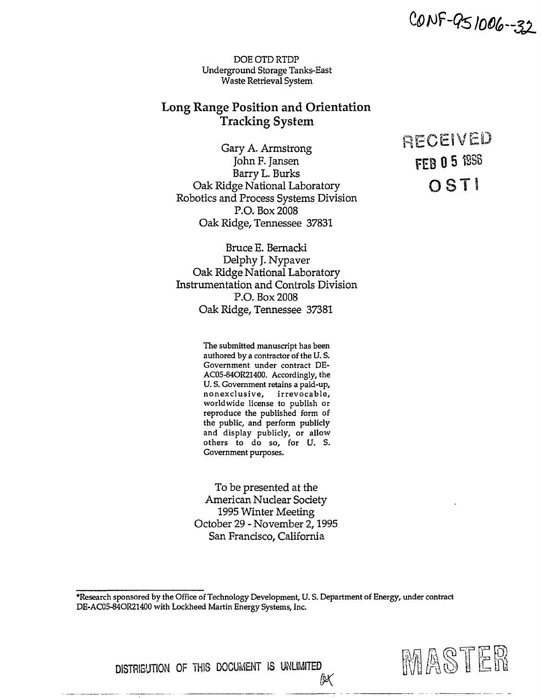CONF-951006--32

DOE OTD RTDP Underground Storage Tanks-East Waste Retrieval System

# **Long Range Position and Orientation Tracking System**

Gary A. Armstrong  *i* John F. Jansen **product that the Papers C 5** 1986 Barry L. Burks Oak Ridge National Laboratory **OST** Robotics and Process Systems Division P.O. Box 2008 Oak Ridge, Tennessee 37831

Bruce E. Bernacki Delphy J. Nypaver Oak Ridge National Laboratory Instrumentation and Controls Division P.O. Box 2008 Oak Ridge, Tennessee 37381

> The submitted manuscript has been authored by a contractor of the U. S. Government under contract DE-AC05-84OR21400. Accordingly, the U. S. Government retains a paid-up, nonexclusive, irrevocable, worldwide license to publish or reproduce the published form of the public, and perform publicly and display publicly, or allow others to do so, for U. S. Government purposes.

To be presented at the American Nuclear Society 1995 Winter Meeting October 29 - November 2,1995 San Francisco, California

•Research sponsored by the Office of Technology Development, U. S. Department of Energy, under contract DE-AC05-84OR21400 with Lockheed Martin Energy Systems, Inc.



**K** 



**DISTRIBUTION OF THiS DOCUMENT IS UNLIMITED**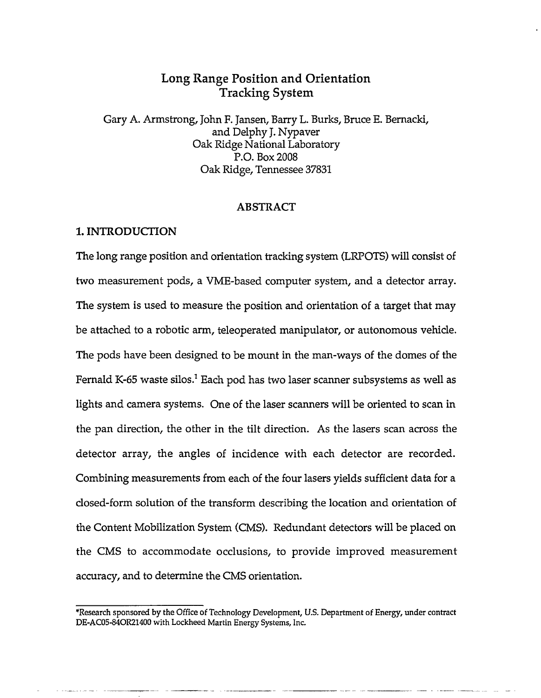## **Long Range Position and Orientation Tracking System**

Gary A. Armstrong, John F. Jansen, Barry L. Burks, Bruce E. Bernacki, and Delphy J. Nypaver Oak Ridge National Laboratory P.O. Box 2008 Oak Ridge, Tennessee 37831

#### **ABSTRACT**

### **1. INTRODUCTION**

The long range position and orientation tracking system (LRPOTS) will consist of two measurement pods, a VME-based computer system, and a detector array. The system is used to measure the position and orientation of a target that may be attached to a robotic arm, teleoperated manipulator, or autonomous vehicle. The pods have been designed to be mount in the man-ways of the domes of the Fernald K-65 waste silos. $^1$  Each pod has two laser scanner subsystems as well as lights and camera systems. One of the laser scanners will be oriented to scan in the pan direction, the other in the tilt direction. As the lasers scan across the detector array, the angles of incidence with each detector are recorded. Combining measurements from each of the four lasers yields sufficient data for a closed-form solution of the transform describing the location and orientation of the Content Mobilization System (CMS). Redundant detectors will be placed on the CMS to accommodate occlusions, to provide improved measurement accuracy, and to determine the CMS orientation.

<sup>&#</sup>x27;Research sponsored by the Office of Technology Development, U.S. Department of Energy, under contract DE-AC05-84OR21400 with Lockheed Martin Energy Systems, Inc.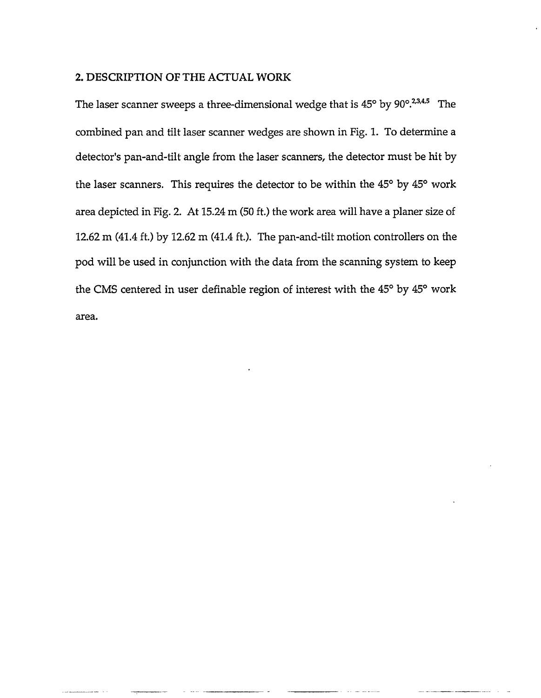### 2. DESCRIPTION OF THE ACTUAL WORK

The laser scanner sweeps a three-dimensional wedge that is 45° by 90°.<sup>2,3,4,5</sup> The combined pan and tilt laser scanner wedges are shown in Fig. 1. To determine a detector's pan-and-tilt angle from the laser scanners, the detector must be hit by the laser scanners. This requires the detector to be within the 45° by 45° work area depicted in Fig. 2. At 15.24 m (50 ft.) the work area will have a planer size of 12.62 m (41.4 ft.) by 12.62 m (41.4 ft). The pan-and-tilt motion controllers on the pod will be used in conjunction with the data from the scanning system to keep the CMS centered in user definable region of interest with the 45° by 45° work area.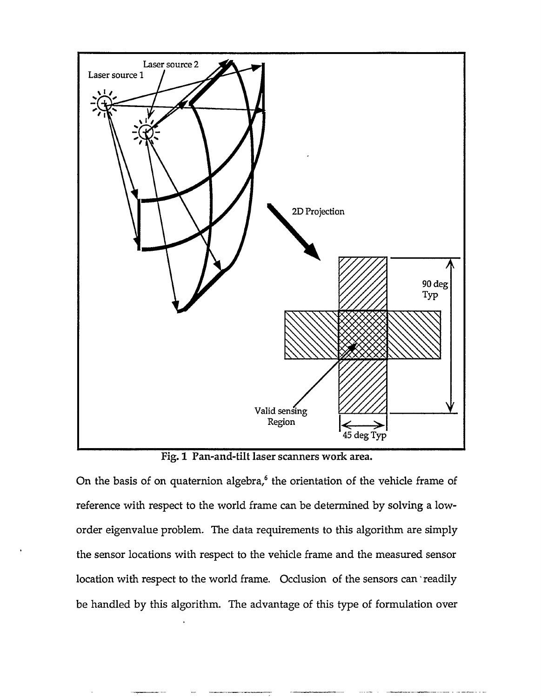

Fig. 1 Pan-and-tilt laser scanners work area.

On the basis of on quaternion algebra,<sup>6</sup> the orientation of the vehicle frame of reference with respect to the world frame can be determined by solving a loworder eigenvalue problem. The data requirements to this algorithm are simply the sensor locations with respect to the vehicle frame and the measured sensor location with respect to the world frame. Occlusion of the sensors can 'readily be handled by this algorithm. The advantage of this type of formulation over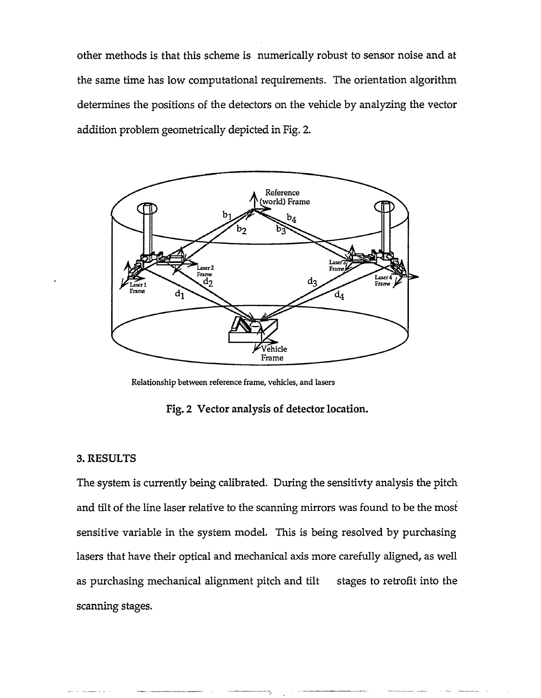other methods is that this scheme is numerically robust to sensor noise and at the same time has low computational requirements. The orientation algorithm determines the positions of the detectors on the vehicle by analyzing the vector addition problem geometrically depicted in Fig. 2.



Relationship between reference frame, vehicles, and lasers

Fig. 2 Vector analysis of detector location.

#### 3. RESULTS

The system is currently being calibrated. During the sensitivty analysis the pitch and tilt of the line laser relative to the scanning mirrors was found to be the most sensitive variable in the system model. This is being resolved by purchasing lasers that have their optical and mechanical axis more carefully aligned, as well as purchasing mechanical alignment pitch and tilt stages to retrofit into the scanning stages.